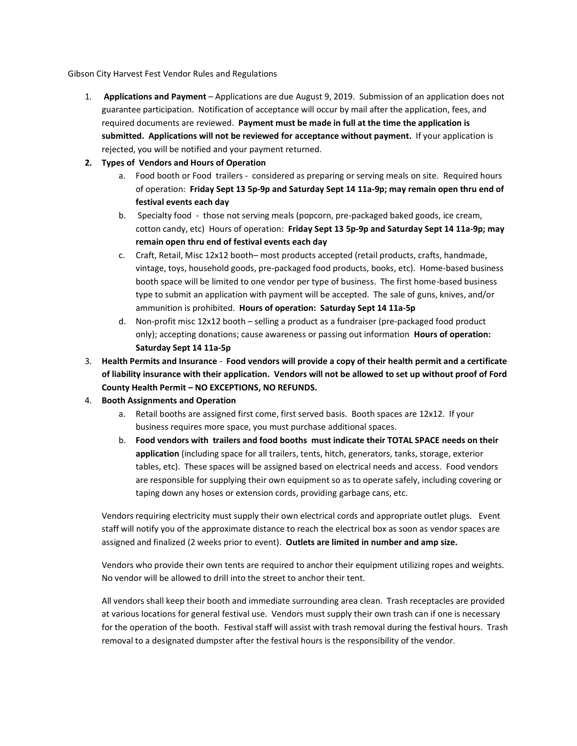Gibson City Harvest Fest Vendor Rules and Regulations

1. **Applications and Payment** – Applications are due August 9, 2019. Submission of an application does not guarantee participation. Notification of acceptance will occur by mail after the application, fees, and required documents are reviewed. **Payment must be made in full at the time the application is submitted. Applications will not be reviewed for acceptance without payment.** If your application is rejected, you will be notified and your payment returned.

## **2. Types of Vendors and Hours of Operation**

- a. Food booth or Food trailers considered as preparing or serving meals on site. Required hours of operation: **Friday Sept 13 5p-9p and Saturday Sept 14 11a-9p; may remain open thru end of festival events each day**
- b. Specialty food those not serving meals (popcorn, pre-packaged baked goods, ice cream, cotton candy, etc) Hours of operation: **Friday Sept 13 5p-9p and Saturday Sept 14 11a-9p; may remain open thru end of festival events each day**
- c. Craft, Retail, Misc 12x12 booth– most products accepted (retail products, crafts, handmade, vintage, toys, household goods, pre-packaged food products, books, etc). Home-based business booth space will be limited to one vendor per type of business. The first home-based business type to submit an application with payment will be accepted. The sale of guns, knives, and/or ammunition is prohibited. **Hours of operation: Saturday Sept 14 11a-5p**
- d. Non-profit misc 12x12 booth selling a product as a fundraiser (pre-packaged food product only); accepting donations; cause awareness or passing out information **Hours of operation: Saturday Sept 14 11a-5p**
- 3. **Health Permits and Insurance Food vendors will provide a copy of their health permit and a certificate of liability insurance with their application. Vendors will not be allowed to set up without proof of Ford County Health Permit – NO EXCEPTIONS, NO REFUNDS.**
- 4. **Booth Assignments and Operation**
	- a. Retail booths are assigned first come, first served basis. Booth spaces are 12x12. If your business requires more space, you must purchase additional spaces.
	- b. **Food vendors with trailers and food booths must indicate their TOTAL SPACE needs on their application** (including space for all trailers, tents, hitch, generators, tanks, storage, exterior tables, etc). These spaces will be assigned based on electrical needs and access. Food vendors are responsible for supplying their own equipment so as to operate safely, including covering or taping down any hoses or extension cords, providing garbage cans, etc.

Vendors requiring electricity must supply their own electrical cords and appropriate outlet plugs. Event staff will notify you of the approximate distance to reach the electrical box as soon as vendor spaces are assigned and finalized (2 weeks prior to event). **Outlets are limited in number and amp size.**

Vendors who provide their own tents are required to anchor their equipment utilizing ropes and weights. No vendor will be allowed to drill into the street to anchor their tent.

All vendors shall keep their booth and immediate surrounding area clean. Trash receptacles are provided at various locations for general festival use. Vendors must supply their own trash can if one is necessary for the operation of the booth. Festival staff will assist with trash removal during the festival hours. Trash removal to a designated dumpster after the festival hours is the responsibility of the vendor.